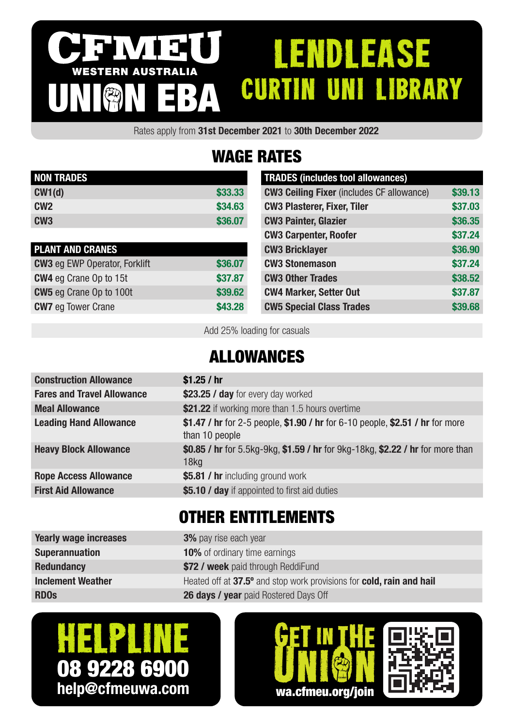#### IVI 3 **ENDLEASE** WESTERN AUSTRALIA CURTIN UNI LIBRARY UNION EBA

Rates apply from 31st December 2021 to 30th December 2022

# WAGE RATES

| <b>NON TRADES</b> |         |
|-------------------|---------|
| CW1(d)            | \$33.33 |
| CM2               | \$34.63 |
| CW <sub>3</sub>   | \$36,07 |

| <b>PLANT AND CRANES</b>              |         |
|--------------------------------------|---------|
| <b>CW3</b> eg EWP Operator, Forklift | \$36.07 |
| <b>CW4</b> eg Crane Op to 15t        | \$37.87 |
| <b>CW5</b> eg Crane Op to 100t       | \$39.62 |
| <b>CW7</b> eg Tower Crane            | \$43.28 |

| <b>TRADES (includes tool allowances)</b>         |         |
|--------------------------------------------------|---------|
| <b>CW3 Ceiling Fixer</b> (includes CF allowance) | \$39.13 |
| <b>CW3 Plasterer, Fixer, Tiler</b>               | \$37.03 |
| <b>CW3 Painter, Glazier</b>                      | \$36.35 |
| <b>CW3 Carpenter, Roofer</b>                     | \$37.24 |
| <b>CW3 Bricklayer</b>                            | \$36.90 |
| <b>CW3 Stonemason</b>                            | \$37.24 |
| <b>CW3 Other Trades</b>                          | \$38.52 |
| <b>CW4 Marker, Setter Out</b>                    | \$37.87 |
| <b>CW5 Special Class Trades</b>                  | \$39.68 |

Add 25% loading for casuals

### ALLOWANCES

| <b>Construction Allowance</b>     | \$1.25 / hr                                                                                        |
|-----------------------------------|----------------------------------------------------------------------------------------------------|
| <b>Fares and Travel Allowance</b> | \$23.25 / day for every day worked                                                                 |
| <b>Meal Allowance</b>             | \$21.22 if working more than 1.5 hours overtime                                                    |
| <b>Leading Hand Allowance</b>     | \$1.47 / hr for 2-5 people, \$1.90 / hr for 6-10 people, \$2.51 / hr for more<br>than 10 people    |
| <b>Heavy Block Allowance</b>      | \$0.85 / hr for 5.5kg-9kg, \$1.59 / hr for 9kg-18kg, \$2.22 / hr for more than<br>18 <sub>kq</sub> |
| <b>Rope Access Allowance</b>      | \$5.81 / hr including ground work                                                                  |
| <b>First Aid Allowance</b>        | \$5.10 / day if appointed to first aid duties                                                      |
|                                   |                                                                                                    |

## OTHER ENTITLEMENTS

| <b>Yearly wage increases</b> | <b>3%</b> pay rise each year                                         |
|------------------------------|----------------------------------------------------------------------|
| <b>Superannuation</b>        | <b>10%</b> of ordinary time earnings                                 |
| <b>Redundancy</b>            | \$72 / week paid through ReddiFund                                   |
| <b>Inclement Weather</b>     | Heated off at 37.5° and stop work provisions for cold, rain and hail |
| <b>RDOs</b>                  | 26 days / year paid Rostered Days Off                                |